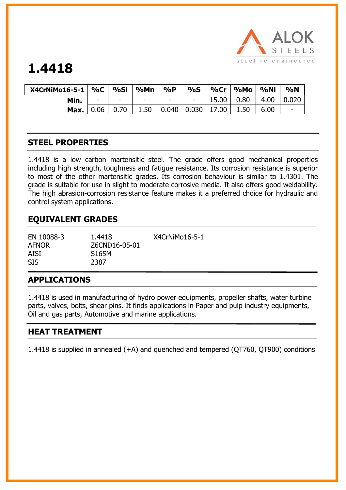

# **1.4418**

| X4CrNiMo16-5-1   %C |                | %Si                      | %Mn                      | $\%P$                                     | $\%S$ |       | ∣ %Mo | %Ni  | $\%$ N                   |
|---------------------|----------------|--------------------------|--------------------------|-------------------------------------------|-------|-------|-------|------|--------------------------|
| Min.                | $\blacksquare$ | $\overline{\phantom{0}}$ | $\overline{\phantom{a}}$ | $\overline{\phantom{a}}$                  |       | 15.00 | 0.80  | 4.00 | 0.020                    |
| Max.                | $\vert$ 0.06   | 0.70                     | 1.50                     | $\vert$ 0.040 $\vert$ 0.030 $\vert$ 17.00 |       |       | 1.50  | 6.00 | $\overline{\phantom{0}}$ |

## **STEEL PROPERTIES**

1.4418 is a low carbon martensitic steel. The grade offers good mechanical properties including high strength, toughness and fatigue resistance. Its corrosion resistance is superior to most of the other martensitic grades. Its corrosion behaviour is similar to 1.4301. The grade is suitable for use in slight to moderate corrosive media. It also offers good weldability. The high abrasion-corrosion resistance feature makes it a preferred choice for hydraulic and control system applications.

## **EQUIVALENT GRADES**

| EN 10088-3<br><b>AFNOR</b><br>AISI<br><b>SIS</b> | 1.4418<br>Z6CND16-05-01<br>S <sub>165</sub> M<br>2387 | X4CrNiMo16-5-1 |
|--------------------------------------------------|-------------------------------------------------------|----------------|
|                                                  |                                                       |                |

### **APPLICATIONS**

1.4418 is used in manufacturing of hydro power equipments, propeller shafts, water turbine parts, valves, bolts, shear pins. It finds applications in Paper and pulp industry equipments, Oil and gas parts, Automotive and marine applications.

### **HEAT TREATMENT**

1.4418 is supplied in annealed (+A) and quenched and tempered (QT760, QT900) conditions